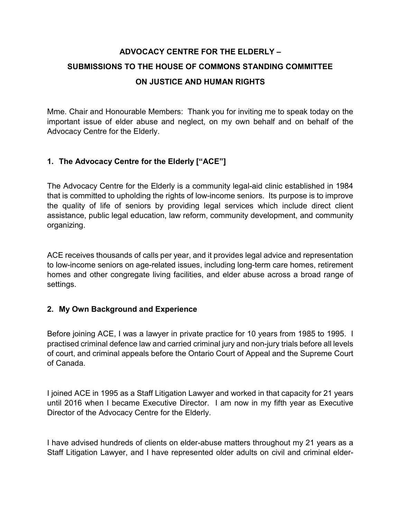# ADVOCACY CENTRE FOR THE ELDERLY – SUBMISSIONS TO THE HOUSE OF COMMONS STANDING COMMITTEE ON JUSTICE AND HUMAN RIGHTS

Mme. Chair and Honourable Members: Thank you for inviting me to speak today on the important issue of elder abuse and neglect, on my own behalf and on behalf of the Advocacy Centre for the Elderly.

# 1. The Advocacy Centre for the Elderly ["ACE"]

The Advocacy Centre for the Elderly is a community legal-aid clinic established in 1984 that is committed to upholding the rights of low-income seniors. Its purpose is to improve the quality of life of seniors by providing legal services which include direct client assistance, public legal education, law reform, community development, and community organizing.

ACE receives thousands of calls per year, and it provides legal advice and representation to low-income seniors on age-related issues, including long-term care homes, retirement homes and other congregate living facilities, and elder abuse across a broad range of settings.

## 2. My Own Background and Experience

Before joining ACE, I was a lawyer in private practice for 10 years from 1985 to 1995. I practised criminal defence law and carried criminal jury and non-jury trials before all levels of court, and criminal appeals before the Ontario Court of Appeal and the Supreme Court of Canada.

I joined ACE in 1995 as a Staff Litigation Lawyer and worked in that capacity for 21 years until 2016 when I became Executive Director. I am now in my fifth year as Executive Director of the Advocacy Centre for the Elderly.

I have advised hundreds of clients on elder-abuse matters throughout my 21 years as a Staff Litigation Lawyer, and I have represented older adults on civil and criminal elder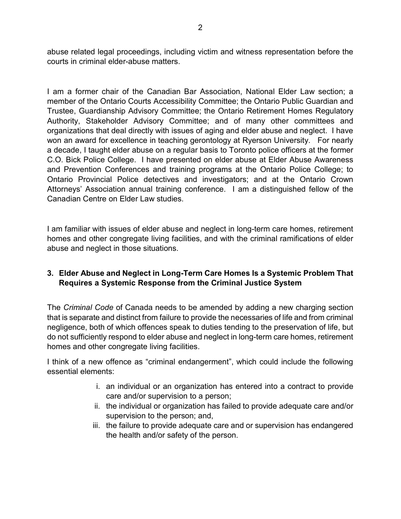abuse related legal proceedings, including victim and witness representation before the courts in criminal elder-abuse matters.

I am a former chair of the Canadian Bar Association, National Elder Law section; a member of the Ontario Courts Accessibility Committee; the Ontario Public Guardian and Trustee, Guardianship Advisory Committee; the Ontario Retirement Homes Regulatory Authority, Stakeholder Advisory Committee; and of many other committees and organizations that deal directly with issues of aging and elder abuse and neglect. I have won an award for excellence in teaching gerontology at Ryerson University. For nearly a decade, I taught elder abuse on a regular basis to Toronto police officers at the former C.O. Bick Police College. I have presented on elder abuse at Elder Abuse Awareness and Prevention Conferences and training programs at the Ontario Police College; to Ontario Provincial Police detectives and investigators; and at the Ontario Crown Attorneys' Association annual training conference. I am a distinguished fellow of the Canadian Centre on Elder Law studies.

I am familiar with issues of elder abuse and neglect in long-term care homes, retirement homes and other congregate living facilities, and with the criminal ramifications of elder abuse and neglect in those situations.

# 3. Elder Abuse and Neglect in Long-Term Care Homes Is a Systemic Problem That Requires a Systemic Response from the Criminal Justice System

The Criminal Code of Canada needs to be amended by adding a new charging section that is separate and distinct from failure to provide the necessaries of life and from criminal negligence, both of which offences speak to duties tending to the preservation of life, but do not sufficiently respond to elder abuse and neglect in long-term care homes, retirement homes and other congregate living facilities.

I think of a new offence as "criminal endangerment", which could include the following essential elements:

- i. an individual or an organization has entered into a contract to provide care and/or supervision to a person;
- ii. the individual or organization has failed to provide adequate care and/or supervision to the person; and,
- iii. the failure to provide adequate care and or supervision has endangered the health and/or safety of the person.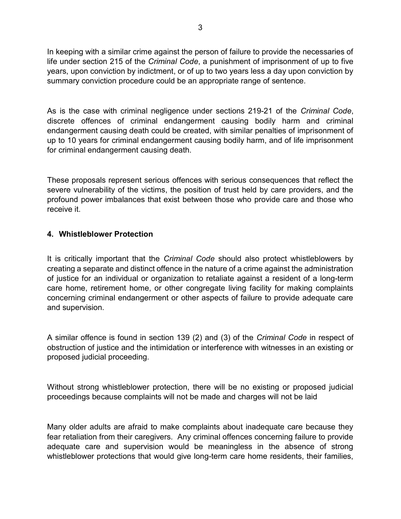In keeping with a similar crime against the person of failure to provide the necessaries of life under section 215 of the Criminal Code, a punishment of imprisonment of up to five years, upon conviction by indictment, or of up to two years less a day upon conviction by summary conviction procedure could be an appropriate range of sentence.

As is the case with criminal negligence under sections 219-21 of the Criminal Code, discrete offences of criminal endangerment causing bodily harm and criminal endangerment causing death could be created, with similar penalties of imprisonment of up to 10 years for criminal endangerment causing bodily harm, and of life imprisonment for criminal endangerment causing death.

These proposals represent serious offences with serious consequences that reflect the severe vulnerability of the victims, the position of trust held by care providers, and the profound power imbalances that exist between those who provide care and those who receive it.

#### 4. Whistleblower Protection

It is critically important that the *Criminal Code* should also protect whistleblowers by creating a separate and distinct offence in the nature of a crime against the administration of justice for an individual or organization to retaliate against a resident of a long-term care home, retirement home, or other congregate living facility for making complaints concerning criminal endangerment or other aspects of failure to provide adequate care and supervision.

A similar offence is found in section 139 (2) and (3) of the Criminal Code in respect of obstruction of justice and the intimidation or interference with witnesses in an existing or proposed judicial proceeding.

Without strong whistleblower protection, there will be no existing or proposed judicial proceedings because complaints will not be made and charges will not be laid

Many older adults are afraid to make complaints about inadequate care because they fear retaliation from their caregivers. Any criminal offences concerning failure to provide adequate care and supervision would be meaningless in the absence of strong whistleblower protections that would give long-term care home residents, their families,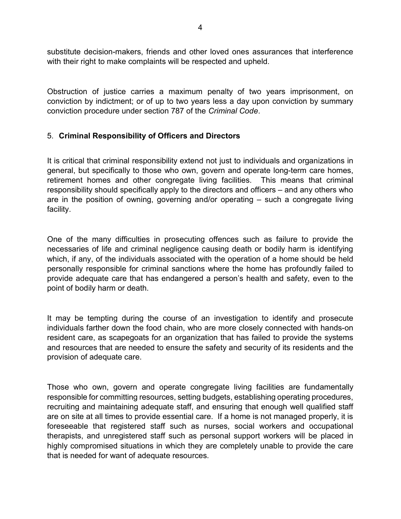substitute decision-makers, friends and other loved ones assurances that interference with their right to make complaints will be respected and upheld.

Obstruction of justice carries a maximum penalty of two years imprisonment, on conviction by indictment; or of up to two years less a day upon conviction by summary conviction procedure under section 787 of the Criminal Code.

## 5. Criminal Responsibility of Officers and Directors

It is critical that criminal responsibility extend not just to individuals and organizations in general, but specifically to those who own, govern and operate long-term care homes, retirement homes and other congregate living facilities. This means that criminal responsibility should specifically apply to the directors and officers – and any others who are in the position of owning, governing and/or operating – such a congregate living facility.

One of the many difficulties in prosecuting offences such as failure to provide the necessaries of life and criminal negligence causing death or bodily harm is identifying which, if any, of the individuals associated with the operation of a home should be held personally responsible for criminal sanctions where the home has profoundly failed to provide adequate care that has endangered a person's health and safety, even to the point of bodily harm or death.

It may be tempting during the course of an investigation to identify and prosecute individuals farther down the food chain, who are more closely connected with hands-on resident care, as scapegoats for an organization that has failed to provide the systems and resources that are needed to ensure the safety and security of its residents and the provision of adequate care.

Those who own, govern and operate congregate living facilities are fundamentally responsible for committing resources, setting budgets, establishing operating procedures, recruiting and maintaining adequate staff, and ensuring that enough well qualified staff are on site at all times to provide essential care. If a home is not managed properly, it is foreseeable that registered staff such as nurses, social workers and occupational therapists, and unregistered staff such as personal support workers will be placed in highly compromised situations in which they are completely unable to provide the care that is needed for want of adequate resources.